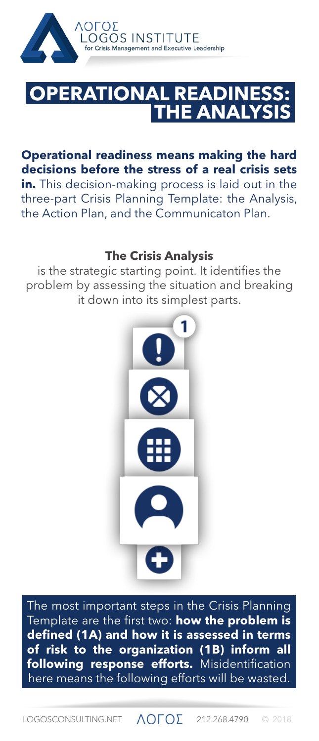

## **THE ANALYSIS TIONAL READINESS:**

**Operational readiness means making the hard decisions before the stress of a real crisis sets in.** This decision-making process is laid out in the three-part Crisis Planning Template: the Analysis, the Action Plan, and the Communicaton Plan.

## **The Crisis Analysis**

is the strategic starting point. It identifies the problem by assessing the situation and breaking it down into its simplest parts.



The most important steps in the Crisis Planning Template are the first two: **how the problem is defined (1A) and how it is assessed in terms of risk to the organization (1B) inform all following response efforts.** Misidentification here means the following efforts will be wasted.